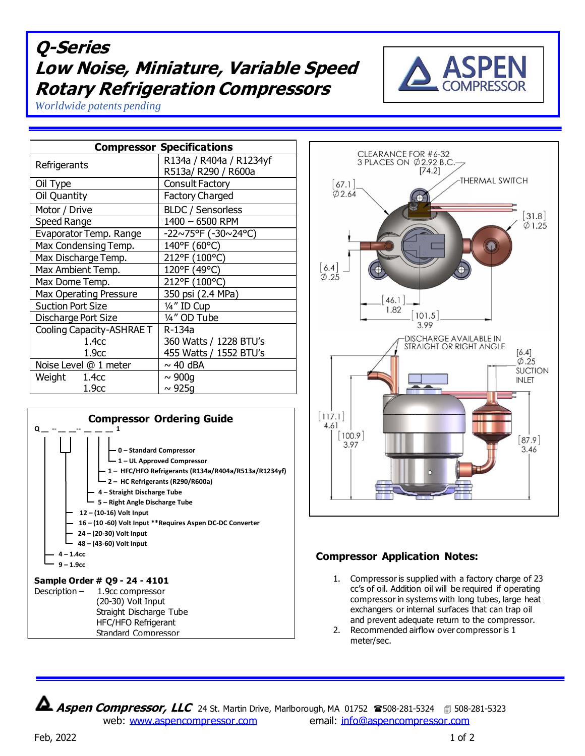## **Q-Series Low Noise, Miniature, Variable Speed Rotary Refrigeration Compressors**



*Worldwide patents pending*

| <b>Compressor Specifications</b> |                          |
|----------------------------------|--------------------------|
| Refrigerants                     | R134a / R404a / R1234yf  |
|                                  | R513a/ R290 / R600a      |
| Oil Type                         | <b>Consult Factory</b>   |
| Oil Quantity                     | <b>Factory Charged</b>   |
| Motor / Drive                    | <b>BLDC / Sensorless</b> |
| Speed Range                      | 1400 - 6500 RPM          |
| Evaporator Temp. Range           | -22~75°F (-30~24°C)      |
| Max Condensing Temp.             | 140°F (60°C)             |
| Max Discharge Temp.              | 212°F (100°C)            |
| Max Ambient Temp.                | 120°F (49°C)             |
| Max Dome Temp.                   | 212°F (100°C)            |
| <b>Max Operating Pressure</b>    | 350 psi (2.4 MPa)        |
| <b>Suction Port Size</b>         | 1/4" ID Cup              |
| Discharge Port Size              | 1/4" OD Tube             |
| Cooling Capacity-ASHRAE T        | R-134a                   |
| 1.4 <sub>CC</sub>                | 360 Watts / 1228 BTU's   |
| 1.9 <sub>cc</sub>                | 455 Watts / 1552 BTU's   |
| Noise Level @ 1 meter            | $\sim$ 40 dBA            |
| Weight<br>1.4сс                  | $\sim 900q$              |
| 1.9 <sub>cc</sub>                | $\sim$ 925g              |





## **Compressor Application Notes:**

- 1. Compressor is supplied with a factory charge of 23 cc's of oil. Addition oil will be required if operating compressor in systems with long tubes, large heat exchangers or internal surfaces that can trap oil and prevent adequate return to the compressor.
- 2. Recommended airflow over compressor is 1 meter/sec.

**Aspen Compressor, LLC** 24 St. Martin Drive, Marlborough, MA 01752 <sup>28</sup>508-281-5324 **1**508-281-5323 web: [www.aspencompressor.com](http://www.aspencompressor.com/) email: [info@aspencompressor.com](mailto:klee@aspencompressor.com)